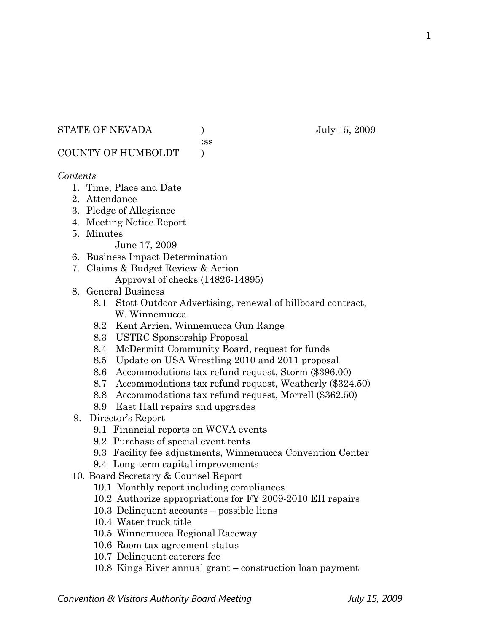#### STATE OF NEVADA ) July 15, 2009

:ss

COUNTY OF HUMBOLDT )

## *Contents*

- 1. Time, Place and Date
- 2. Attendance
- 3. Pledge of Allegiance
- 4. Meeting Notice Report
- 5. Minutes

June 17, 2009

- 6. Business Impact Determination
- 7. Claims & Budget Review & Action Approval of checks (14826-14895)
- 8. General Business
	- 8.1 Stott Outdoor Advertising, renewal of billboard contract, W. Winnemucca
	- 8.2 Kent Arrien, Winnemucca Gun Range
	- 8.3 USTRC Sponsorship Proposal
	- 8.4 McDermitt Community Board, request for funds
	- 8.5 Update on USA Wrestling 2010 and 2011 proposal
	- 8.6 Accommodations tax refund request, Storm (\$396.00)
	- 8.7 Accommodations tax refund request, Weatherly (\$324.50)
	- 8.8 Accommodations tax refund request, Morrell (\$362.50)
	- 8.9 East Hall repairs and upgrades
- 9. Director's Report
	- 9.1 Financial reports on WCVA events
	- 9.2 Purchase of special event tents
	- 9.3 Facility fee adjustments, Winnemucca Convention Center
	- 9.4 Long-term capital improvements
- 10. Board Secretary & Counsel Report
	- 10.1 Monthly report including compliances
	- 10.2 Authorize appropriations for FY 2009-2010 EH repairs
	- 10.3 Delinquent accounts possible liens
	- 10.4 Water truck title
	- 10.5 Winnemucca Regional Raceway
	- 10.6 Room tax agreement status
	- 10.7 Delinquent caterers fee
	- 10.8 Kings River annual grant construction loan payment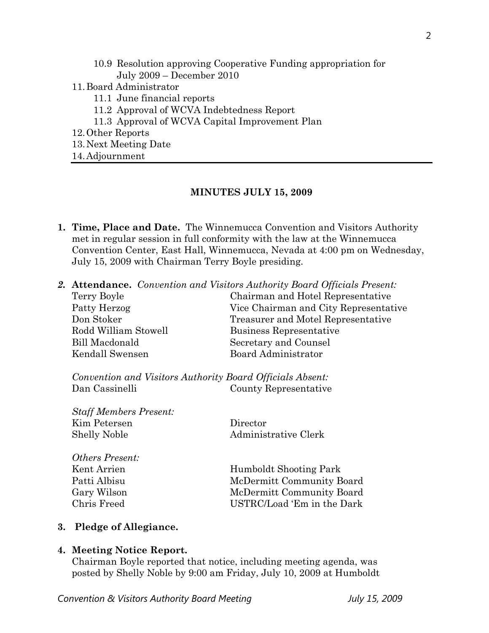- 10.9 Resolution approving Cooperative Funding appropriation for July 2009 – December 2010
- 11.Board Administrator
	- 11.1 June financial reports
	- 11.2 Approval of WCVA Indebtedness Report
	- 11.3 Approval of WCVA Capital Improvement Plan
- 12.Other Reports
- 13.Next Meeting Date

14.Adjournment

#### **MINUTES JULY 15, 2009**

- **1. Time, Place and Date.** The Winnemucca Convention and Visitors Authority met in regular session in full conformity with the law at the Winnemucca Convention Center, East Hall, Winnemucca, Nevada at 4:00 pm on Wednesday, July 15, 2009 with Chairman Terry Boyle presiding.
- *2.* **Attendance.** *Convention and Visitors Authority Board Officials Present:*

| Terry Boyle          | Chairman and Hotel Representative     |
|----------------------|---------------------------------------|
| Patty Herzog         | Vice Chairman and City Representative |
| Don Stoker           | Treasurer and Motel Representative    |
| Rodd William Stowell | Business Representative               |
| Bill Macdonald       | Secretary and Counsel                 |
| Kendall Swensen      | Board Administrator                   |
|                      |                                       |

*Convention and Visitors Authority Board Officials Absent:*  Dan Cassinelli County Representative

*Staff Members Present:*  Kim Petersen Director Shelly Noble **Administrative Clerk** 

*Others Present:*  Kent Arrien Humboldt Shooting Park Patti Albisu McDermitt Community Board Gary Wilson McDermitt Community Board Chris Freed USTRC/Load 'Em in the Dark

#### **3. Pledge of Allegiance.**

#### **4. Meeting Notice Report.**

Chairman Boyle reported that notice, including meeting agenda, was posted by Shelly Noble by 9:00 am Friday, July 10, 2009 at Humboldt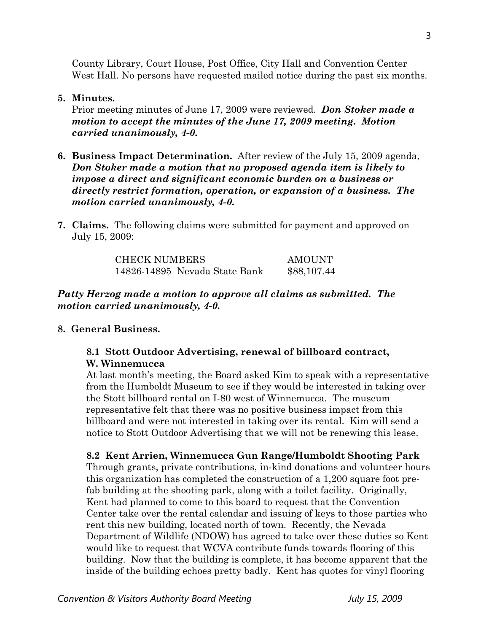County Library, Court House, Post Office, City Hall and Convention Center West Hall. No persons have requested mailed notice during the past six months.

#### **5. Minutes.**

Prior meeting minutes of June 17, 2009 were reviewed. *Don Stoker made a motion to accept the minutes of the June 17, 2009 meeting. Motion carried unanimously, 4-0.* 

- **6. Business Impact Determination.** After review of the July 15, 2009 agenda, *Don Stoker made a motion that no proposed agenda item is likely to impose a direct and significant economic burden on a business or directly restrict formation, operation, or expansion of a business. The motion carried unanimously, 4-0.*
- **7. Claims.** The following claims were submitted for payment and approved on July 15, 2009:

| <b>CHECK NUMBERS</b>          | AMOUNT      |
|-------------------------------|-------------|
| 14826-14895 Nevada State Bank | \$88,107.44 |

## *Patty Herzog made a motion to approve all claims as submitted. The motion carried unanimously, 4-0.*

#### **8. General Business.**

## **8.1 Stott Outdoor Advertising, renewal of billboard contract, W. Winnemucca**

At last month's meeting, the Board asked Kim to speak with a representative from the Humboldt Museum to see if they would be interested in taking over the Stott billboard rental on I-80 west of Winnemucca. The museum representative felt that there was no positive business impact from this billboard and were not interested in taking over its rental. Kim will send a notice to Stott Outdoor Advertising that we will not be renewing this lease.

#### **8.2 Kent Arrien, Winnemucca Gun Range/Humboldt Shooting Park**

Through grants, private contributions, in-kind donations and volunteer hours this organization has completed the construction of a 1,200 square foot prefab building at the shooting park, along with a toilet facility. Originally, Kent had planned to come to this board to request that the Convention Center take over the rental calendar and issuing of keys to those parties who rent this new building, located north of town. Recently, the Nevada Department of Wildlife (NDOW) has agreed to take over these duties so Kent would like to request that WCVA contribute funds towards flooring of this building. Now that the building is complete, it has become apparent that the inside of the building echoes pretty badly. Kent has quotes for vinyl flooring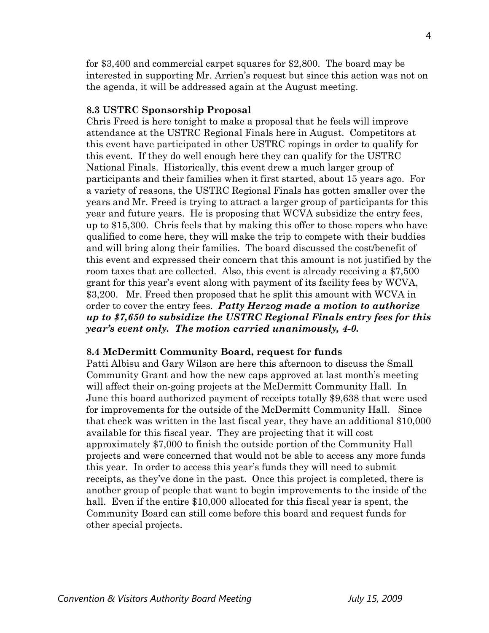for \$3,400 and commercial carpet squares for \$2,800. The board may be interested in supporting Mr. Arrien's request but since this action was not on the agenda, it will be addressed again at the August meeting.

#### **8.3 USTRC Sponsorship Proposal**

Chris Freed is here tonight to make a proposal that he feels will improve attendance at the USTRC Regional Finals here in August. Competitors at this event have participated in other USTRC ropings in order to qualify for this event. If they do well enough here they can qualify for the USTRC National Finals. Historically, this event drew a much larger group of participants and their families when it first started, about 15 years ago. For a variety of reasons, the USTRC Regional Finals has gotten smaller over the years and Mr. Freed is trying to attract a larger group of participants for this year and future years. He is proposing that WCVA subsidize the entry fees, up to \$15,300. Chris feels that by making this offer to those ropers who have qualified to come here, they will make the trip to compete with their buddies and will bring along their families. The board discussed the cost/benefit of this event and expressed their concern that this amount is not justified by the room taxes that are collected. Also, this event is already receiving a \$7,500 grant for this year's event along with payment of its facility fees by WCVA, \$3,200. Mr. Freed then proposed that he split this amount with WCVA in order to cover the entry fees. *Patty Herzog made a motion to authorize up to \$7,650 to subsidize the USTRC Regional Finals entry fees for this year's event only. The motion carried unanimously, 4-0.* 

#### **8.4 McDermitt Community Board, request for funds**

Patti Albisu and Gary Wilson are here this afternoon to discuss the Small Community Grant and how the new caps approved at last month's meeting will affect their on-going projects at the McDermitt Community Hall. In June this board authorized payment of receipts totally \$9,638 that were used for improvements for the outside of the McDermitt Community Hall. Since that check was written in the last fiscal year, they have an additional \$10,000 available for this fiscal year. They are projecting that it will cost approximately \$7,000 to finish the outside portion of the Community Hall projects and were concerned that would not be able to access any more funds this year. In order to access this year's funds they will need to submit receipts, as they've done in the past. Once this project is completed, there is another group of people that want to begin improvements to the inside of the hall. Even if the entire \$10,000 allocated for this fiscal year is spent, the Community Board can still come before this board and request funds for other special projects.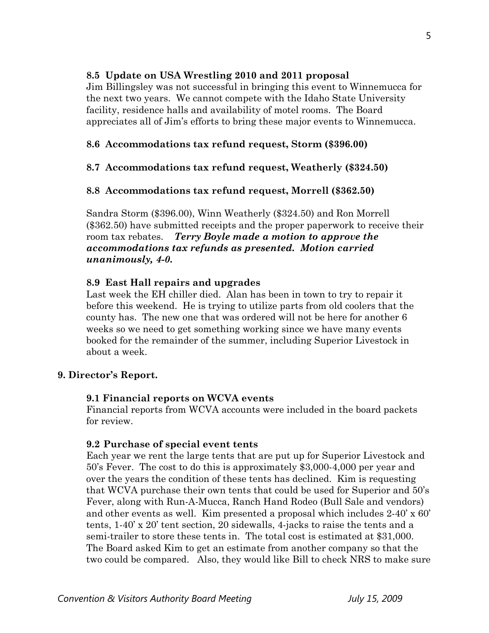## **8.5 Update on USA Wrestling 2010 and 2011 proposal**

Jim Billingsley was not successful in bringing this event to Winnemucca for the next two years. We cannot compete with the Idaho State University facility, residence halls and availability of motel rooms. The Board appreciates all of Jim's efforts to bring these major events to Winnemucca.

# **8.6 Accommodations tax refund request, Storm (\$396.00)**

# **8.7 Accommodations tax refund request, Weatherly (\$324.50)**

# **8.8 Accommodations tax refund request, Morrell (\$362.50)**

Sandra Storm (\$396.00), Winn Weatherly (\$324.50) and Ron Morrell (\$362.50) have submitted receipts and the proper paperwork to receive their room tax rebates. *Terry Boyle made a motion to approve the accommodations tax refunds as presented. Motion carried unanimously, 4-0.* 

# **8.9 East Hall repairs and upgrades**

Last week the EH chiller died. Alan has been in town to try to repair it before this weekend. He is trying to utilize parts from old coolers that the county has. The new one that was ordered will not be here for another 6 weeks so we need to get something working since we have many events booked for the remainder of the summer, including Superior Livestock in about a week.

# **9. Director's Report.**

# **9.1 Financial reports on WCVA events**

Financial reports from WCVA accounts were included in the board packets for review.

# **9.2 Purchase of special event tents**

Each year we rent the large tents that are put up for Superior Livestock and 50's Fever. The cost to do this is approximately \$3,000-4,000 per year and over the years the condition of these tents has declined. Kim is requesting that WCVA purchase their own tents that could be used for Superior and 50's Fever, along with Run-A-Mucca, Ranch Hand Rodeo (Bull Sale and vendors) and other events as well. Kim presented a proposal which includes 2-40' x 60' tents, 1-40' x 20' tent section, 20 sidewalls, 4-jacks to raise the tents and a semi-trailer to store these tents in. The total cost is estimated at \$31,000. The Board asked Kim to get an estimate from another company so that the two could be compared. Also, they would like Bill to check NRS to make sure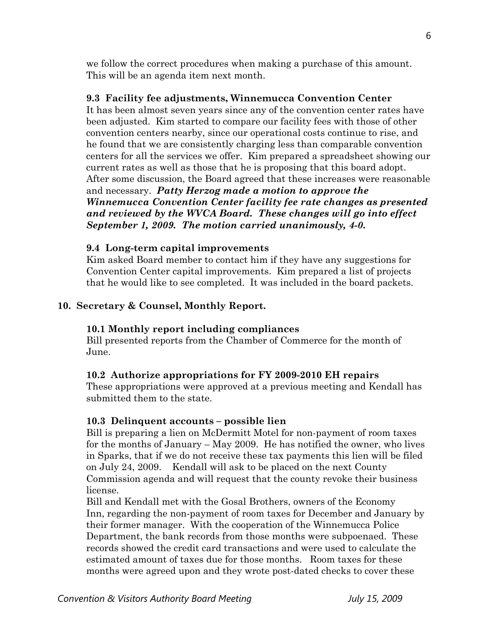we follow the correct procedures when making a purchase of this amount. This will be an agenda item next month.

## **9.3 Facility fee adjustments, Winnemucca Convention Center**

It has been almost seven years since any of the convention center rates have been adjusted. Kim started to compare our facility fees with those of other convention centers nearby, since our operational costs continue to rise, and he found that we are consistently charging less than comparable convention centers for all the services we offer. Kim prepared a spreadsheet showing our current rates as well as those that he is proposing that this board adopt. After some discussion, the Board agreed that these increases were reasonable and necessary. *Patty Herzog made a motion to approve the Winnemucca Convention Center facility fee rate changes as presented and reviewed by the WVCA Board. These changes will go into effect September 1, 2009. The motion carried unanimously, 4-0.* 

#### **9.4 Long-term capital improvements**

Kim asked Board member to contact him if they have any suggestions for Convention Center capital improvements. Kim prepared a list of projects that he would like to see completed. It was included in the board packets.

## **10. Secretary & Counsel, Monthly Report.**

## **10.1 Monthly report including compliances**

Bill presented reports from the Chamber of Commerce for the month of June.

## **10.2 Authorize appropriations for FY 2009-2010 EH repairs**

These appropriations were approved at a previous meeting and Kendall has submitted them to the state.

## **10.3 Delinquent accounts – possible lien**

Bill is preparing a lien on McDermitt Motel for non-payment of room taxes for the months of January – May 2009. He has notified the owner, who lives in Sparks, that if we do not receive these tax payments this lien will be filed on July 24, 2009. Kendall will ask to be placed on the next County Commission agenda and will request that the county revoke their business license.

Bill and Kendall met with the Gosal Brothers, owners of the Economy Inn, regarding the non-payment of room taxes for December and January by their former manager. With the cooperation of the Winnemucca Police Department, the bank records from those months were subpoenaed. These records showed the credit card transactions and were used to calculate the estimated amount of taxes due for those months. Room taxes for these months were agreed upon and they wrote post-dated checks to cover these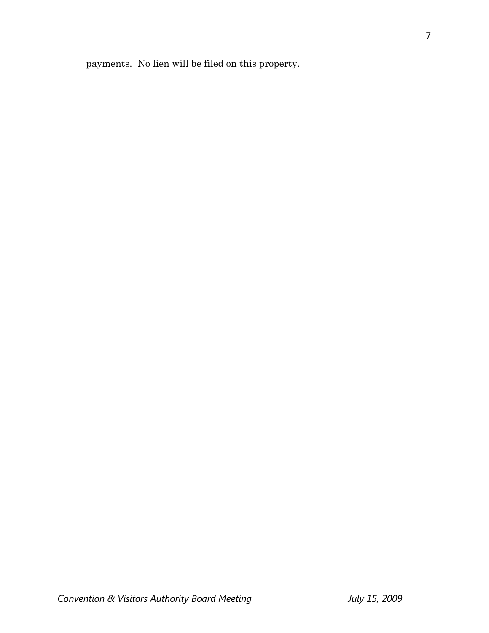payments. No lien will be filed on this property.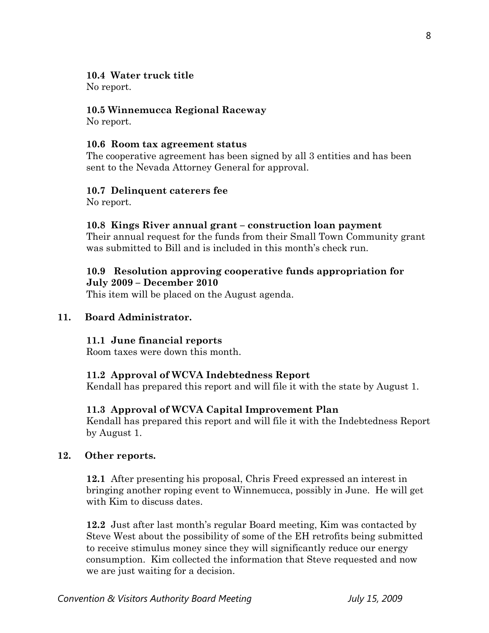## **10.4 Water truck title**

No report.

## **10.5 Winnemucca Regional Raceway**

No report.

## **10.6 Room tax agreement status**

The cooperative agreement has been signed by all 3 entities and has been sent to the Nevada Attorney General for approval.

## **10.7 Delinquent caterers fee**

No report.

## **10.8 Kings River annual grant – construction loan payment**

Their annual request for the funds from their Small Town Community grant was submitted to Bill and is included in this month's check run.

## **10.9 Resolution approving cooperative funds appropriation for July 2009 – December 2010**

This item will be placed on the August agenda.

## **11. Board Administrator.**

## **11.1 June financial reports**

Room taxes were down this month.

# **11.2 Approval of WCVA Indebtedness Report**

Kendall has prepared this report and will file it with the state by August 1.

# **11.3 Approval of WCVA Capital Improvement Plan**

Kendall has prepared this report and will file it with the Indebtedness Report by August 1.

## **12. Other reports.**

 **12.1** After presenting his proposal, Chris Freed expressed an interest in bringing another roping event to Winnemucca, possibly in June. He will get with Kim to discuss dates.

**12.2** Just after last month's regular Board meeting, Kim was contacted by Steve West about the possibility of some of the EH retrofits being submitted to receive stimulus money since they will significantly reduce our energy consumption. Kim collected the information that Steve requested and now we are just waiting for a decision.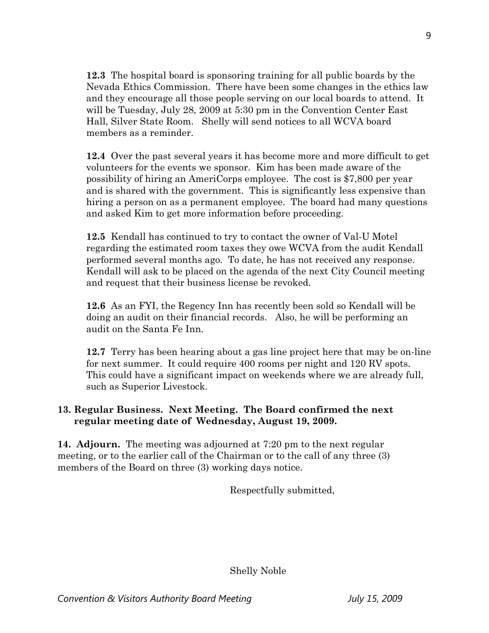**12.3** The hospital board is sponsoring training for all public boards by the Nevada Ethics Commission. There have been some changes in the ethics law and they encourage all those people serving on our local boards to attend. It will be Tuesday, July 28, 2009 at 5:30 pm in the Convention Center East Hall, Silver State Room. Shelly will send notices to all WCVA board members as a reminder.

**12.4** Over the past several years it has become more and more difficult to get volunteers for the events we sponsor. Kim has been made aware of the possibility of hiring an AmeriCorps employee. The cost is \$7,800 per year and is shared with the government. This is significantly less expensive than hiring a person on as a permanent employee. The board had many questions and asked Kim to get more information before proceeding.

**12.5** Kendall has continued to try to contact the owner of Val-U Motel regarding the estimated room taxes they owe WCVA from the audit Kendall performed several months ago. To date, he has not received any response. Kendall will ask to be placed on the agenda of the next City Council meeting and request that their business license be revoked.

**12.6** As an FYI, the Regency Inn has recently been sold so Kendall will be doing an audit on their financial records. Also, he will be performing an audit on the Santa Fe Inn.

**12.7** Terry has been hearing about a gas line project here that may be on-line for next summer. It could require 400 rooms per night and 120 RV spots. This could have a significant impact on weekends where we are already full, such as Superior Livestock.

# **13. Regular Business. Next Meeting. The Board confirmed the next regular meeting date of Wednesday, August 19, 2009.**

**14. Adjourn.** The meeting was adjourned at 7:20 pm to the next regular meeting, or to the earlier call of the Chairman or to the call of any three (3) members of the Board on three (3) working days notice.

Respectfully submitted,